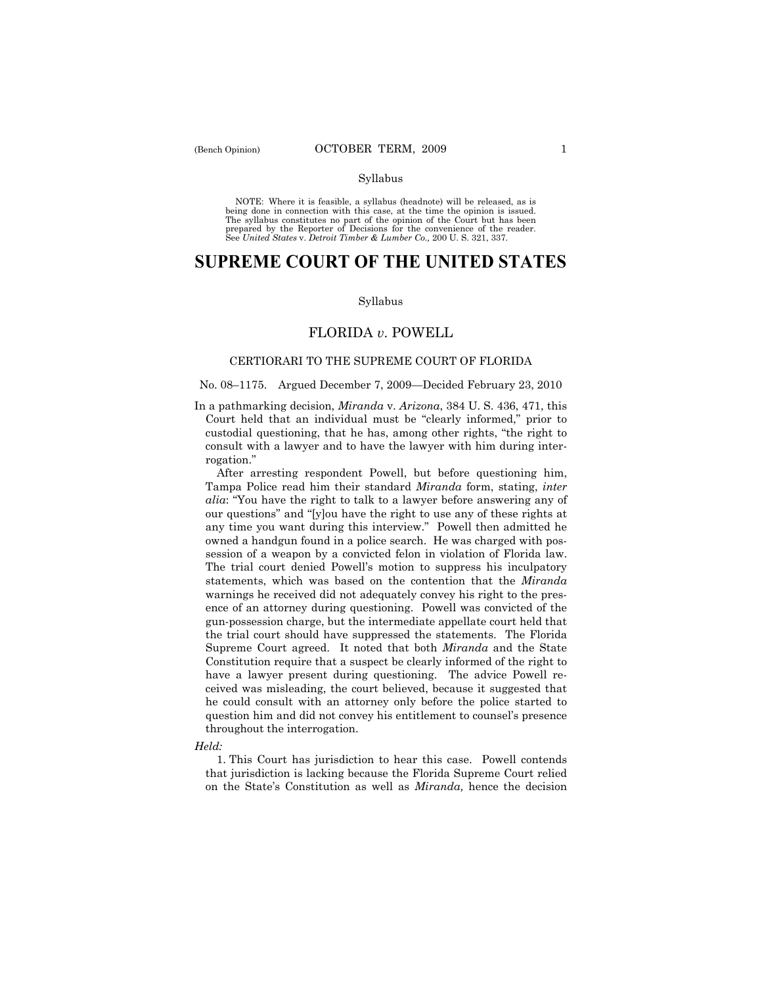#### Syllabus

NOTE: Where it is feasible, a syllabus (headnote) will be released, as is being done in connection with this case, at the time the opinion is issued. The syllabus constitutes no part of the opinion of the Court but has been<br>prepared by the Reporter of Decisions for the convenience of the reader.<br>See United States v. Detroit Timber & Lumber Co., 200 U. S. 321, 337.

# **SUPREME COURT OF THE UNITED STATES**

## Syllabus

# FLORIDA *v*. POWELL

# CERTIORARI TO THE SUPREME COURT OF FLORIDA

# No. 08–1175. Argued December 7, 2009—Decided February 23, 2010

In a pathmarking decision, *Miranda* v. *Arizona*, 384 U. S. 436, 471, this Court held that an individual must be "clearly informed," prior to custodial questioning, that he has, among other rights, "the right to consult with a lawyer and to have the lawyer with him during interrogation."

 After arresting respondent Powell, but before questioning him, Tampa Police read him their standard *Miranda* form, stating, *inter alia*: "You have the right to talk to a lawyer before answering any of our questions" and "[y]ou have the right to use any of these rights at any time you want during this interview." Powell then admitted he owned a handgun found in a police search. He was charged with possession of a weapon by a convicted felon in violation of Florida law. The trial court denied Powell's motion to suppress his inculpatory statements, which was based on the contention that the *Miranda*  warnings he received did not adequately convey his right to the presence of an attorney during questioning. Powell was convicted of the gun-possession charge, but the intermediate appellate court held that the trial court should have suppressed the statements. The Florida Supreme Court agreed. It noted that both *Miranda* and the State Constitution require that a suspect be clearly informed of the right to have a lawyer present during questioning. The advice Powell received was misleading, the court believed, because it suggested that he could consult with an attorney only before the police started to question him and did not convey his entitlement to counsel's presence throughout the interrogation.

## *Held:*

1. This Court has jurisdiction to hear this case. Powell contends that jurisdiction is lacking because the Florida Supreme Court relied on the State's Constitution as well as *Miranda,* hence the decision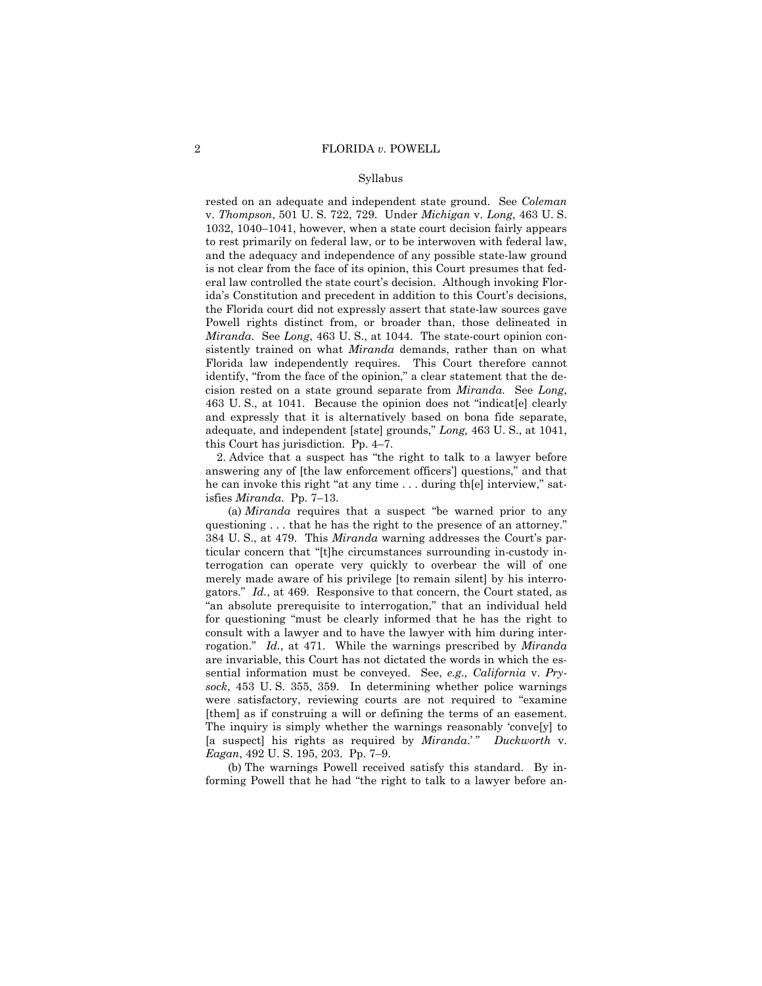# Syllabus

rested on an adequate and independent state ground. See *Coleman* v. *Thompson*, 501 U. S. 722, 729. Under *Michigan* v. *Long*, 463 U. S. 1032, 1040–1041, however, when a state court decision fairly appears to rest primarily on federal law, or to be interwoven with federal law, and the adequacy and independence of any possible state-law ground is not clear from the face of its opinion, this Court presumes that federal law controlled the state court's decision. Although invoking Florida's Constitution and precedent in addition to this Court's decisions, the Florida court did not expressly assert that state-law sources gave Powell rights distinct from, or broader than, those delineated in *Miranda*. See *Long*, 463 U. S., at 1044. The state-court opinion consistently trained on what *Miranda* demands, rather than on what Florida law independently requires. This Court therefore cannot identify, "from the face of the opinion," a clear statement that the decision rested on a state ground separate from *Miranda*. See *Long*, 463 U. S., at 1041. Because the opinion does not "indicat[e] clearly and expressly that it is alternatively based on bona fide separate, adequate, and independent [state] grounds," *Long,* 463 U. S., at 1041, this Court has jurisdiction. Pp. 4–7.

2. Advice that a suspect has "the right to talk to a lawyer before answering any of [the law enforcement officers'] questions," and that he can invoke this right "at any time . . . during th[e] interview," satisfies *Miranda*. Pp. 7–13.

 (a) *Miranda* requires that a suspect "be warned prior to any questioning . . . that he has the right to the presence of an attorney.' 384 U. S., at 479. This *Miranda* warning addresses the Court's particular concern that "[t]he circumstances surrounding in-custody interrogation can operate very quickly to overbear the will of one merely made aware of his privilege [to remain silent] by his interrogators." *Id.*, at 469. Responsive to that concern, the Court stated, as "an absolute prerequisite to interrogation," that an individual held for questioning "must be clearly informed that he has the right to consult with a lawyer and to have the lawyer with him during interrogation." *Id.*, at 471. While the warnings prescribed by *Miranda* are invariable, this Court has not dictated the words in which the essential information must be conveyed. See, *e.g., California* v. *Prysock*, 453 U. S. 355, 359. In determining whether police warnings were satisfactory, reviewing courts are not required to "examine [them] as if construing a will or defining the terms of an easement. The inquiry is simply whether the warnings reasonably 'conve[y] to [a suspect] his rights as required by *Miranda*.' " *Duckworth* v. *Eagan*, 492 U. S. 195, 203. Pp. 7–9.

 (b) The warnings Powell received satisfy this standard. By informing Powell that he had "the right to talk to a lawyer before an-